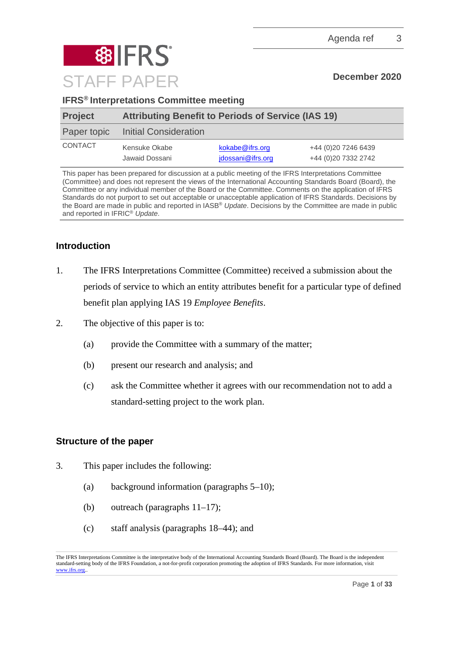

### **IFRS® Interpretations Committee meeting**

| <b>Project</b> | <b>Attributing Benefit to Periods of Service (IAS 19)</b> |                                      |                                            |
|----------------|-----------------------------------------------------------|--------------------------------------|--------------------------------------------|
| Paper topic    | Initial Consideration                                     |                                      |                                            |
| <b>CONTACT</b> | Kensuke Okabe<br>Jawaid Dossani                           | kokabe@ifrs.org<br>idossani@ifrs.org | +44 (0)20 7246 6439<br>+44 (0)20 7332 2742 |

This paper has been prepared for discussion at a public meeting of the IFRS Interpretations Committee (Committee) and does not represent the views of the International Accounting Standards Board (Board), the Committee or any individual member of the Board or the Committee. Comments on the application of IFRS Standards do not purport to set out acceptable or unacceptable application of IFRS Standards. Decisions by the Board are made in public and reported in IASB® *Update*. Decisions by the Committee are made in public and reported in IFRIC® *Update*.

### **Introduction**

- 1. The IFRS Interpretations Committee (Committee) received a submission about the periods of service to which an entity attributes benefit for a particular type of defined benefit plan applying IAS 19 *Employee Benefits*.
- 2. The objective of this paper is to:
	- (a) provide the Committee with a summary of the matter;
	- (b) present our research and analysis; and
	- (c) ask the Committee whether it agrees with our recommendation not to add a standard-setting project to the work plan.

### **Structure of the paper**

- 3. This paper includes the following:
	- (a) background information (paragraphs [5–](#page-1-0)[10\)](#page-3-0);
	- (b) outreach (paragraphs [11–](#page-3-1)[17\)](#page-5-0);
	- (c) staff analysis (paragraphs [18](#page-5-1)[–44\)](#page-15-0); and

The IFRS Interpretations Committee is the interpretative body of the International Accounting Standards Board (Board). The Board is the independent standard-setting body of the IFRS Foundation, a not-for-profit corporation promoting the adoption of IFRS Standards. For more information, visit www.jfrs.org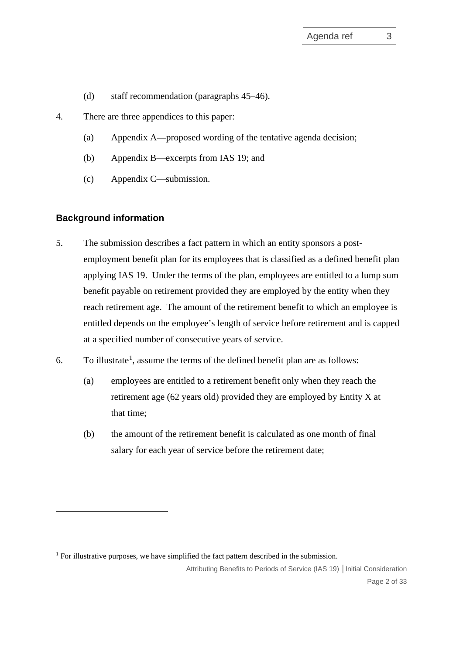- (d) staff recommendation (paragraphs [45–](#page-15-1)[46\)](#page-15-2).
- 4. There are three appendices to this paper:
	- (a) Appendix A—proposed wording of the tentative agenda decision;
	- (b) Appendix B—excerpts from IAS 19; and
	- (c) Appendix C—submission.

### **Background information**

- <span id="page-1-0"></span>5. The submission describes a fact pattern in which an entity sponsors a postemployment benefit plan for its employees that is classified as a defined benefit plan applying IAS 19. Under the terms of the plan, employees are entitled to a lump sum benefit payable on retirement provided they are employed by the entity when they reach retirement age. The amount of the retirement benefit to which an employee is entitled depends on the employee's length of service before retirement and is capped at a specified number of consecutive years of service.
- <span id="page-1-2"></span>6. To illustrate<sup>[1](#page-1-1)</sup>, assume the terms of the defined benefit plan are as follows:
	- (a) employees are entitled to a retirement benefit only when they reach the retirement age (62 years old) provided they are employed by Entity X at that time;
	- (b) the amount of the retirement benefit is calculated as one month of final salary for each year of service before the retirement date;

<span id="page-1-1"></span> $1$  For illustrative purposes, we have simplified the fact pattern described in the submission.

Attributing Benefits to Periods of Service (IAS 19) **│**Initial Consideration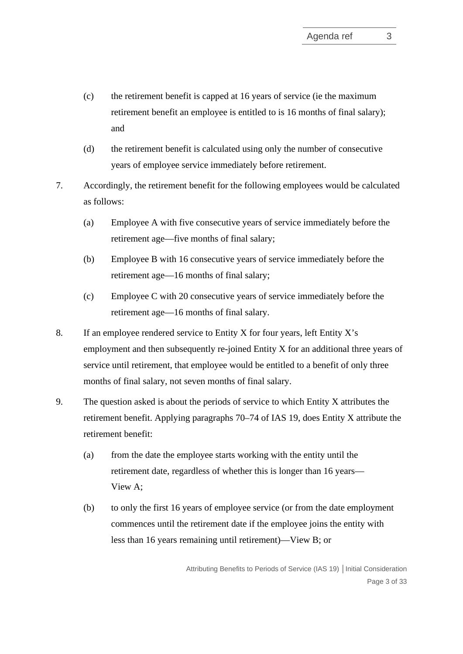- (c) the retirement benefit is capped at 16 years of service (ie the maximum retirement benefit an employee is entitled to is 16 months of final salary); and
- (d) the retirement benefit is calculated using only the number of consecutive years of employee service immediately before retirement.
- 7. Accordingly, the retirement benefit for the following employees would be calculated as follows:
	- (a) Employee A with five consecutive years of service immediately before the retirement age—five months of final salary;
	- (b) Employee B with 16 consecutive years of service immediately before the retirement age—16 months of final salary;
	- (c) Employee C with 20 consecutive years of service immediately before the retirement age—16 months of final salary.
- 8. If an employee rendered service to Entity X for four years, left Entity X's employment and then subsequently re-joined Entity X for an additional three years of service until retirement, that employee would be entitled to a benefit of only three months of final salary, not seven months of final salary.
- <span id="page-2-0"></span>9. The question asked is about the periods of service to which Entity X attributes the retirement benefit. Applying paragraphs 70–74 of IAS 19, does Entity X attribute the retirement benefit:
	- (a) from the date the employee starts working with the entity until the retirement date, regardless of whether this is longer than 16 years— View A;
	- (b) to only the first 16 years of employee service (or from the date employment commences until the retirement date if the employee joins the entity with less than 16 years remaining until retirement)—View B; or

Attributing Benefits to Periods of Service (IAS 19) **│**Initial Consideration Page 3 of 33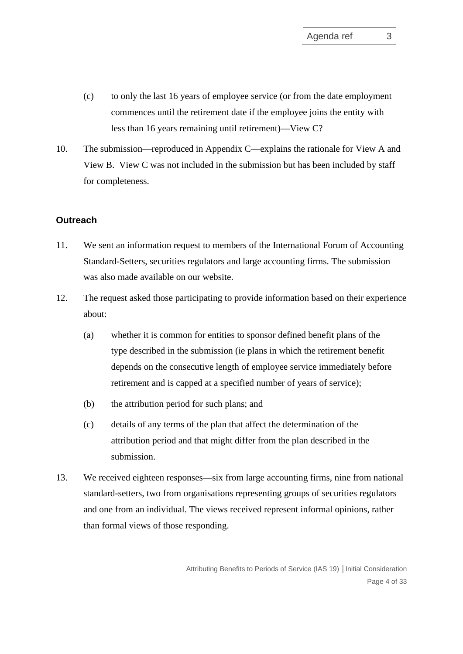- (c) to only the last 16 years of employee service (or from the date employment commences until the retirement date if the employee joins the entity with less than 16 years remaining until retirement)—View C?
- <span id="page-3-0"></span>10. The submission—reproduced in Appendix C—explains the rationale for View A and View B. View C was not included in the submission but has been included by staff for completeness.

#### **Outreach**

- <span id="page-3-1"></span>11. We sent an information request to members of the International Forum of Accounting Standard-Setters, securities regulators and large accounting firms. The submission was also made available on our website.
- 12. The request asked those participating to provide information based on their experience about:
	- (a) whether it is common for entities to sponsor defined benefit plans of the type described in the submission (ie plans in which the retirement benefit depends on the consecutive length of employee service immediately before retirement and is capped at a specified number of years of service);
	- (b) the attribution period for such plans; and
	- (c) details of any terms of the plan that affect the determination of the attribution period and that might differ from the plan described in the submission.
- 13. We received eighteen responses—six from large accounting firms, nine from national standard-setters, two from organisations representing groups of securities regulators and one from an individual. The views received represent informal opinions, rather than formal views of those responding.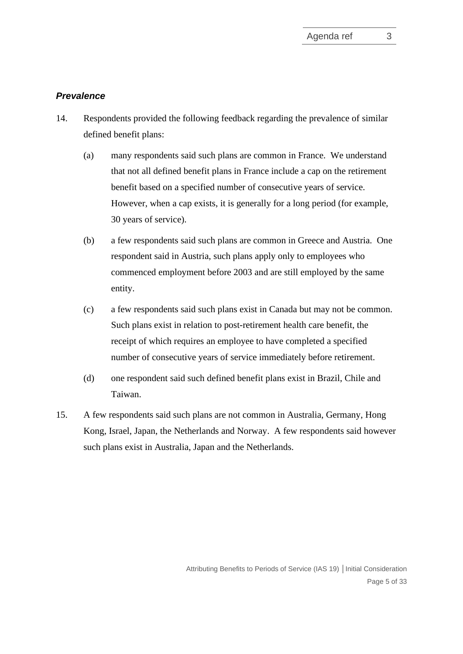#### *Prevalence*

- 14. Respondents provided the following feedback regarding the prevalence of similar defined benefit plans:
	- (a) many respondents said such plans are common in France. We understand that not all defined benefit plans in France include a cap on the retirement benefit based on a specified number of consecutive years of service. However, when a cap exists, it is generally for a long period (for example, 30 years of service).
	- (b) a few respondents said such plans are common in Greece and Austria. One respondent said in Austria, such plans apply only to employees who commenced employment before 2003 and are still employed by the same entity.
	- (c) a few respondents said such plans exist in Canada but may not be common. Such plans exist in relation to post-retirement health care benefit, the receipt of which requires an employee to have completed a specified number of consecutive years of service immediately before retirement.
	- (d) one respondent said such defined benefit plans exist in Brazil, Chile and Taiwan.
- 15. A few respondents said such plans are not common in Australia, Germany, Hong Kong, Israel, Japan, the Netherlands and Norway. A few respondents said however such plans exist in Australia, Japan and the Netherlands.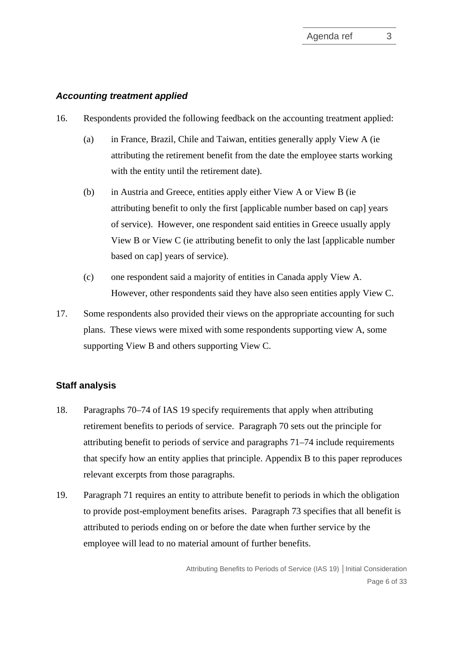#### *Accounting treatment applied*

- 16. Respondents provided the following feedback on the accounting treatment applied:
	- (a) in France, Brazil, Chile and Taiwan, entities generally apply View A (ie attributing the retirement benefit from the date the employee starts working with the entity until the retirement date).
	- (b) in Austria and Greece, entities apply either View A or View B (ie attributing benefit to only the first [applicable number based on cap] years of service). However, one respondent said entities in Greece usually apply View B or View C (ie attributing benefit to only the last [applicable number based on cap] years of service).
	- (c) one respondent said a majority of entities in Canada apply View A. However, other respondents said they have also seen entities apply View C.
- <span id="page-5-0"></span>17. Some respondents also provided their views on the appropriate accounting for such plans. These views were mixed with some respondents supporting view A, some supporting View B and others supporting View C.

#### **Staff analysis**

- <span id="page-5-1"></span>18. Paragraphs 70–74 of IAS 19 specify requirements that apply when attributing retirement benefits to periods of service. Paragraph 70 sets out the principle for attributing benefit to periods of service and paragraphs 71–74 include requirements that specify how an entity applies that principle. Appendix B to this paper reproduces relevant excerpts from those paragraphs.
- 19. Paragraph 71 requires an entity to attribute benefit to periods in which the obligation to provide post-employment benefits arises. Paragraph 73 specifies that all benefit is attributed to periods ending on or before the date when further service by the employee will lead to no material amount of further benefits.

Attributing Benefits to Periods of Service (IAS 19) **│**Initial Consideration Page 6 of 33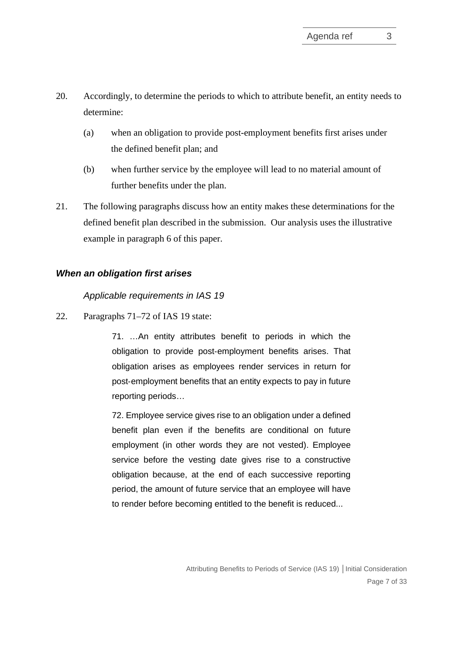- 20. Accordingly, to determine the periods to which to attribute benefit, an entity needs to determine:
	- (a) when an obligation to provide post-employment benefits first arises under the defined benefit plan; and
	- (b) when further service by the employee will lead to no material amount of further benefits under the plan.
- 21. The following paragraphs discuss how an entity makes these determinations for the defined benefit plan described in the submission. Our analysis uses the illustrative example in paragraph [6](#page-1-2) of this paper.

### *When an obligation first arises*

*Applicable requirements in IAS 19*

22. Paragraphs 71–72 of IAS 19 state:

71. …An entity attributes benefit to periods in which the obligation to provide post-employment benefits arises. That obligation arises as employees render services in return for post‑employment benefits that an entity expects to pay in future reporting periods…

72. Employee service gives rise to an obligation under a defined benefit plan even if the benefits are conditional on future employment (in other words they are not vested). Employee service before the vesting date gives rise to a constructive obligation because, at the end of each successive reporting period, the amount of future service that an employee will have to render before becoming entitled to the benefit is reduced...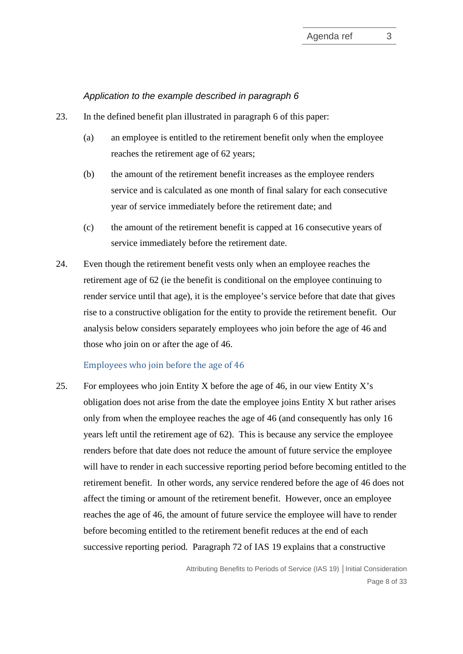#### *Application to the example described in paragraph [6](#page-1-2)*

- <span id="page-7-0"></span>23. In the defined benefit plan illustrated in paragraph [6](#page-1-2) of this paper:
	- (a) an employee is entitled to the retirement benefit only when the employee reaches the retirement age of 62 years;
	- (b) the amount of the retirement benefit increases as the employee renders service and is calculated as one month of final salary for each consecutive year of service immediately before the retirement date; and
	- (c) the amount of the retirement benefit is capped at 16 consecutive years of service immediately before the retirement date.
- 24. Even though the retirement benefit vests only when an employee reaches the retirement age of 62 (ie the benefit is conditional on the employee continuing to render service until that age), it is the employee's service before that date that gives rise to a constructive obligation for the entity to provide the retirement benefit. Our analysis below considers separately employees who join before the age of 46 and those who join on or after the age of 46.

#### Employees who join before the age of 46

25. For employees who join Entity X before the age of 46, in our view Entity X's obligation does not arise from the date the employee joins Entity X but rather arises only from when the employee reaches the age of 46 (and consequently has only 16 years left until the retirement age of 62). This is because any service the employee renders before that date does not reduce the amount of future service the employee will have to render in each successive reporting period before becoming entitled to the retirement benefit. In other words, any service rendered before the age of 46 does not affect the timing or amount of the retirement benefit. However, once an employee reaches the age of 46, the amount of future service the employee will have to render before becoming entitled to the retirement benefit reduces at the end of each successive reporting period. Paragraph 72 of IAS 19 explains that a constructive

> Attributing Benefits to Periods of Service (IAS 19) **│**Initial Consideration Page 8 of 33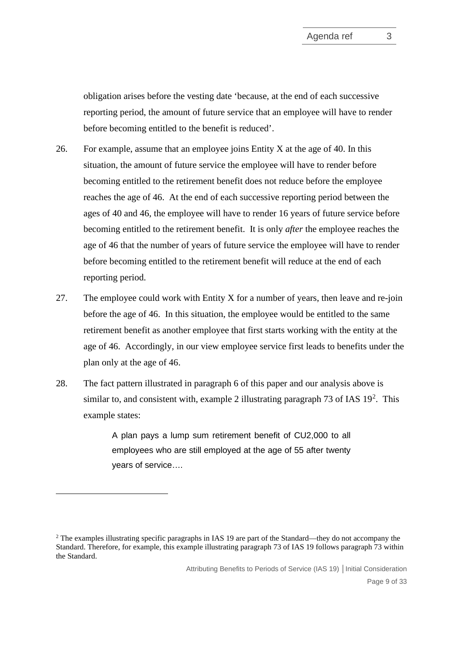obligation arises before the vesting date 'because, at the end of each successive reporting period, the amount of future service that an employee will have to render before becoming entitled to the benefit is reduced'.

- 26. For example, assume that an employee joins Entity X at the age of 40. In this situation, the amount of future service the employee will have to render before becoming entitled to the retirement benefit does not reduce before the employee reaches the age of 46. At the end of each successive reporting period between the ages of 40 and 46, the employee will have to render 16 years of future service before becoming entitled to the retirement benefit. It is only *after* the employee reaches the age of 46 that the number of years of future service the employee will have to render before becoming entitled to the retirement benefit will reduce at the end of each reporting period.
- 27. The employee could work with Entity X for a number of years, then leave and re-join before the age of 46. In this situation, the employee would be entitled to the same retirement benefit as another employee that first starts working with the entity at the age of 46. Accordingly, in our view employee service first leads to benefits under the plan only at the age of 46.
- <span id="page-8-1"></span>28. The fact pattern illustrated in paragraph [6](#page-1-2) of this paper and our analysis above is similar to, and consistent with, example [2](#page-8-0) illustrating paragraph 73 of IAS  $19<sup>2</sup>$ . This example states:

A plan pays a lump sum retirement benefit of CU2,000 to all employees who are still employed at the age of 55 after twenty years of service….

Attributing Benefits to Periods of Service (IAS 19) **│**Initial Consideration

<span id="page-8-0"></span><sup>2</sup> The examples illustrating specific paragraphs in IAS 19 are part of the Standard—they do not accompany the Standard. Therefore, for example, this example illustrating paragraph 73 of IAS 19 follows paragraph 73 within the Standard.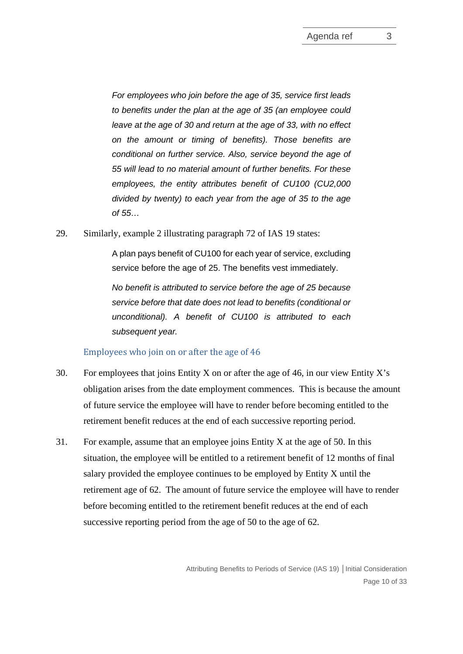*For employees who join before the age of 35, service first leads to benefits under the plan at the age of 35 (an employee could leave at the age of 30 and return at the age of 33, with no effect on the amount or timing of benefits). Those benefits are conditional on further service. Also, service beyond the age of 55 will lead to no material amount of further benefits. For these employees, the entity attributes benefit of CU100 (CU2,000 divided by twenty) to each year from the age of 35 to the age of 55…*

29. Similarly, example 2 illustrating paragraph 72 of IAS 19 states:

A plan pays benefit of CU100 for each year of service, excluding service before the age of 25. The benefits vest immediately.

*No benefit is attributed to service before the age of 25 because service before that date does not lead to benefits (conditional or unconditional). A benefit of CU100 is attributed to each subsequent year.* 

### Employees who join on or after the age of 46

- 30. For employees that joins Entity X on or after the age of 46, in our view Entity X's obligation arises from the date employment commences. This is because the amount of future service the employee will have to render before becoming entitled to the retirement benefit reduces at the end of each successive reporting period.
- 31. For example, assume that an employee joins Entity X at the age of 50. In this situation, the employee will be entitled to a retirement benefit of 12 months of final salary provided the employee continues to be employed by Entity X until the retirement age of 62. The amount of future service the employee will have to render before becoming entitled to the retirement benefit reduces at the end of each successive reporting period from the age of 50 to the age of 62.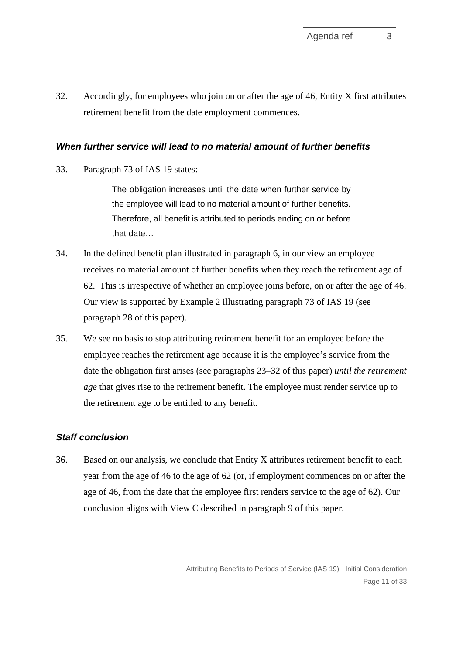<span id="page-10-0"></span>32. Accordingly, for employees who join on or after the age of 46, Entity X first attributes retirement benefit from the date employment commences.

#### *When further service will lead to no material amount of further benefits*

33. Paragraph 73 of IAS 19 states:

The obligation increases until the date when further service by the employee will lead to no material amount of further benefits. Therefore, all benefit is attributed to periods ending on or before that date…

- 34. In the defined benefit plan illustrated in paragraph [6,](#page-1-2) in our view an employee receives no material amount of further benefits when they reach the retirement age of 62. This is irrespective of whether an employee joins before, on or after the age of 46. Our view is supported by Example 2 illustrating paragraph 73 of IAS 19 (see paragraph [28](#page-8-1) of this paper).
- <span id="page-10-1"></span>35. We see no basis to stop attributing retirement benefit for an employee before the employee reaches the retirement age because it is the employee's service from the date the obligation first arises (see paragraphs [23–](#page-7-0)[32](#page-10-0) of this paper) *until the retirement age* that gives rise to the retirement benefit. The employee must render service up to the retirement age to be entitled to any benefit.

### *Staff conclusion*

36. Based on our analysis, we conclude that Entity X attributes retirement benefit to each year from the age of 46 to the age of 62 (or, if employment commences on or after the age of 46, from the date that the employee first renders service to the age of 62). Our conclusion aligns with View C described in paragraph [9](#page-2-0) of this paper.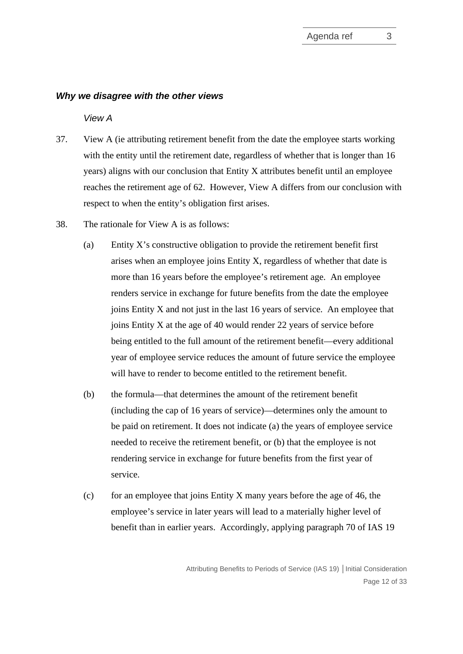#### *Why we disagree with the other views*

*View A*

- 37. View A (ie attributing retirement benefit from the date the employee starts working with the entity until the retirement date, regardless of whether that is longer than 16 years) aligns with our conclusion that Entity X attributes benefit until an employee reaches the retirement age of 62. However, View A differs from our conclusion with respect to when the entity's obligation first arises.
- 38. The rationale for View A is as follows:
	- (a) Entity X's constructive obligation to provide the retirement benefit first arises when an employee joins Entity X, regardless of whether that date is more than 16 years before the employee's retirement age. An employee renders service in exchange for future benefits from the date the employee joins Entity X and not just in the last 16 years of service. An employee that joins Entity X at the age of 40 would render 22 years of service before being entitled to the full amount of the retirement benefit—every additional year of employee service reduces the amount of future service the employee will have to render to become entitled to the retirement benefit.
	- (b) the formula—that determines the amount of the retirement benefit (including the cap of 16 years of service)—determines only the amount to be paid on retirement. It does not indicate (a) the years of employee service needed to receive the retirement benefit, or (b) that the employee is not rendering service in exchange for future benefits from the first year of service.
	- (c) for an employee that joins Entity X many years before the age of 46, the employee's service in later years will lead to a materially higher level of benefit than in earlier years. Accordingly, applying paragraph 70 of IAS 19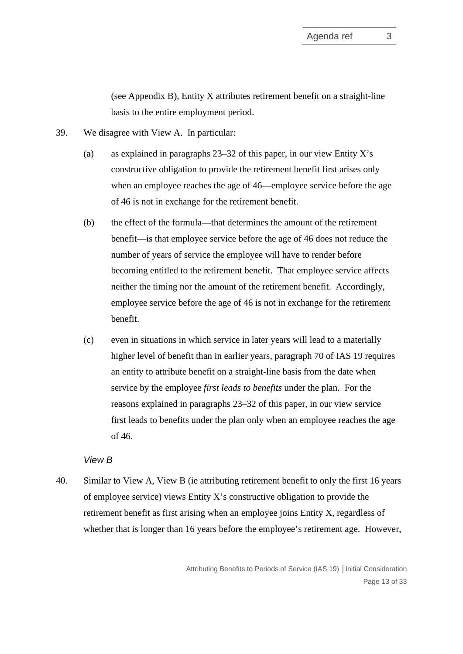(see Appendix B), Entity X attributes retirement benefit on a straight-line basis to the entire employment period.

- <span id="page-12-0"></span>39. We disagree with View A. In particular:
	- (a) as explained in paragraphs  $23-32$  of this paper, in our view Entity X's constructive obligation to provide the retirement benefit first arises only when an employee reaches the age of 46—employee service before the age of 46 is not in exchange for the retirement benefit.
	- (b) the effect of the formula—that determines the amount of the retirement benefit—is that employee service before the age of 46 does not reduce the number of years of service the employee will have to render before becoming entitled to the retirement benefit. That employee service affects neither the timing nor the amount of the retirement benefit. Accordingly, employee service before the age of 46 is not in exchange for the retirement benefit.
	- (c) even in situations in which service in later years will lead to a materially higher level of benefit than in earlier years, paragraph 70 of IAS 19 requires an entity to attribute benefit on a straight-line basis from the date when service by the employee *first leads to benefits* under the plan. For the reasons explained in paragraphs [23](#page-7-0)[–32](#page-10-0) of this paper, in our view service first leads to benefits under the plan only when an employee reaches the age of 46.

### *View B*

40. Similar to View A, View B (ie attributing retirement benefit to only the first 16 years of employee service) views Entity X's constructive obligation to provide the retirement benefit as first arising when an employee joins Entity X, regardless of whether that is longer than 16 years before the employee's retirement age. However,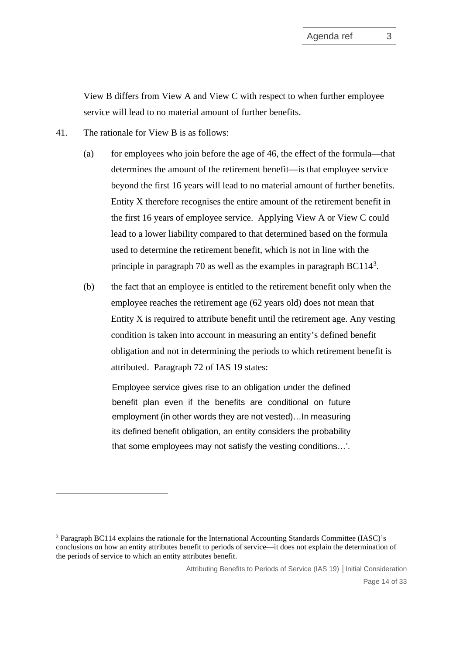View B differs from View A and View C with respect to when further employee service will lead to no material amount of further benefits.

- 41. The rationale for View B is as follows:
	- (a) for employees who join before the age of 46, the effect of the formula—that determines the amount of the retirement benefit—is that employee service beyond the first 16 years will lead to no material amount of further benefits. Entity X therefore recognises the entire amount of the retirement benefit in the first 16 years of employee service. Applying View A or View C could lead to a lower liability compared to that determined based on the formula used to determine the retirement benefit, which is not in line with the principle in paragraph 70 as well as the examples in paragraph  $BC114<sup>3</sup>$  $BC114<sup>3</sup>$  $BC114<sup>3</sup>$ .
	- (b) the fact that an employee is entitled to the retirement benefit only when the employee reaches the retirement age (62 years old) does not mean that Entity X is required to attribute benefit until the retirement age. Any vesting condition is taken into account in measuring an entity's defined benefit obligation and not in determining the periods to which retirement benefit is attributed. Paragraph 72 of IAS 19 states:

Employee service gives rise to an obligation under the defined benefit plan even if the benefits are conditional on future employment (in other words they are not vested)…In measuring its defined benefit obligation, an entity considers the probability that some employees may not satisfy the vesting conditions…'.

<span id="page-13-0"></span><sup>3</sup> Paragraph BC114 explains the rationale for the International Accounting Standards Committee (IASC)'s conclusions on how an entity attributes benefit to periods of service—it does not explain the determination of the periods of service to which an entity attributes benefit.

Attributing Benefits to Periods of Service (IAS 19) **│**Initial Consideration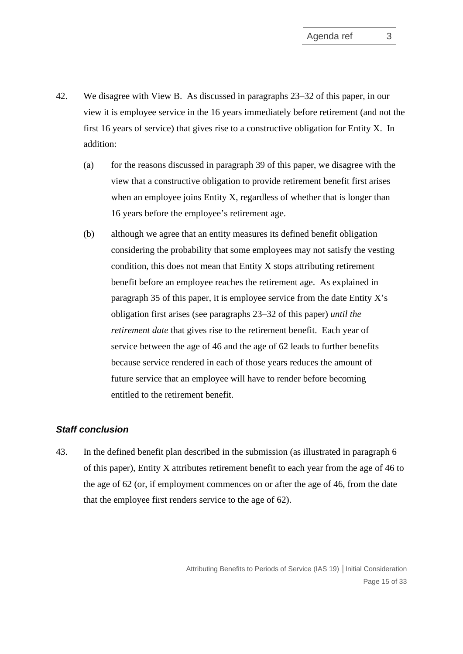- 42. We disagree with View B. As discussed in paragraphs [23](#page-7-0)[–32](#page-10-0) of this paper, in our view it is employee service in the 16 years immediately before retirement (and not the first 16 years of service) that gives rise to a constructive obligation for Entity X. In addition:
	- (a) for the reasons discussed in paragraph [39](#page-12-0) of this paper, we disagree with the view that a constructive obligation to provide retirement benefit first arises when an employee joins Entity X, regardless of whether that is longer than 16 years before the employee's retirement age.
	- (b) although we agree that an entity measures its defined benefit obligation considering the probability that some employees may not satisfy the vesting condition, this does not mean that Entity X stops attributing retirement benefit before an employee reaches the retirement age. As explained in paragraph [35](#page-10-1) of this paper, it is employee service from the date Entity X's obligation first arises (see paragraphs [23](#page-7-0)[–32](#page-10-0) of this paper) *until the retirement date* that gives rise to the retirement benefit. Each year of service between the age of 46 and the age of 62 leads to further benefits because service rendered in each of those years reduces the amount of future service that an employee will have to render before becoming entitled to the retirement benefit.

### *Staff conclusion*

43. In the defined benefit plan described in the submission (as illustrated in paragraph [6](#page-1-2) of this paper), Entity X attributes retirement benefit to each year from the age of 46 to the age of 62 (or, if employment commences on or after the age of 46, from the date that the employee first renders service to the age of 62).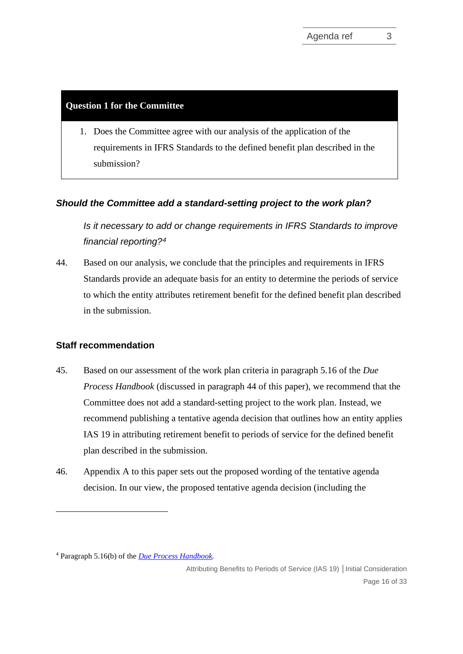### **Question 1 for the Committee**

1. Does the Committee agree with our analysis of the application of the requirements in IFRS Standards to the defined benefit plan described in the submission?

### *Should the Committee add a standard-setting project to the work plan?*

*Is it necessary to add or change requirements in IFRS Standards to improve financial reporting?[4](#page-15-3)*

<span id="page-15-0"></span>44. Based on our analysis, we conclude that the principles and requirements in IFRS Standards provide an adequate basis for an entity to determine the periods of service to which the entity attributes retirement benefit for the defined benefit plan described in the submission.

### **Staff recommendation**

- <span id="page-15-1"></span>45. Based on our assessment of the work plan criteria in paragraph 5.16 of the *Due Process Handbook* (discussed in paragraph [44](#page-15-0) of this paper), we recommend that the Committee does not add a standard-setting project to the work plan. Instead, we recommend publishing a tentative agenda decision that outlines how an entity applies IAS 19 in attributing retirement benefit to periods of service for the defined benefit plan described in the submission.
- <span id="page-15-2"></span>46. Appendix A to this paper sets out the proposed wording of the tentative agenda decision. In our view, the proposed tentative agenda decision (including the

Attributing Benefits to Periods of Service (IAS 19) **│**Initial Consideration

<span id="page-15-3"></span><sup>4</sup> Paragraph 5.16(b) of the *[Due Process Handbook.](https://cdn.ifrs.org/-/media/feature/about-us/legal-and-governance/constitution-docs/due-process-handbook-2020.pdf?la=en)*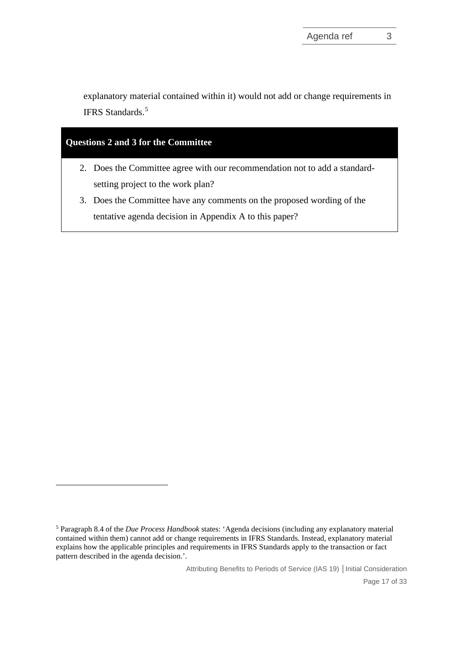explanatory material contained within it) would not add or change requirements in IFRS Standards.<sup>[5](#page-16-0)</sup>

# **Questions 2 and 3 for the Committee**

- 2. Does the Committee agree with our recommendation not to add a standardsetting project to the work plan?
- 3. Does the Committee have any comments on the proposed wording of the tentative agenda decision in Appendix A to this paper?

Attributing Benefits to Periods of Service (IAS 19) **│**Initial Consideration

<span id="page-16-0"></span><sup>5</sup> Paragraph 8.4 of the *Due Process Handbook* states: 'Agenda decisions (including any explanatory material contained within them) cannot add or change requirements in IFRS Standards. Instead, explanatory material explains how the applicable principles and requirements in IFRS Standards apply to the transaction or fact pattern described in the agenda decision.'.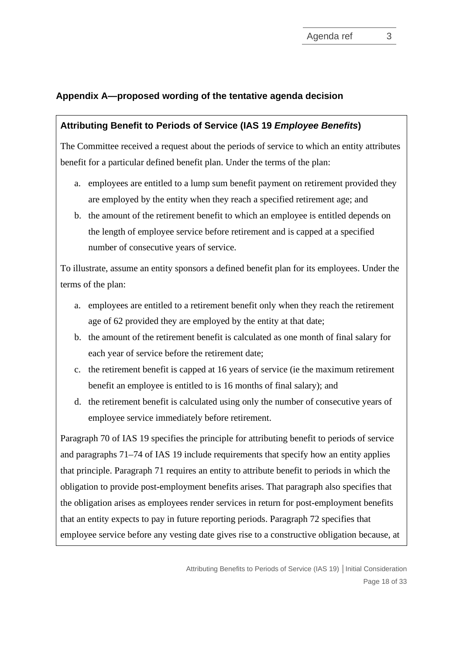### **Appendix A—proposed wording of the tentative agenda decision**

### **Attributing Benefit to Periods of Service (IAS 19** *Employee Benefits***)**

The Committee received a request about the periods of service to which an entity attributes benefit for a particular defined benefit plan. Under the terms of the plan:

- a. employees are entitled to a lump sum benefit payment on retirement provided they are employed by the entity when they reach a specified retirement age; and
- b. the amount of the retirement benefit to which an employee is entitled depends on the length of employee service before retirement and is capped at a specified number of consecutive years of service.

To illustrate, assume an entity sponsors a defined benefit plan for its employees. Under the terms of the plan:

- a. employees are entitled to a retirement benefit only when they reach the retirement age of 62 provided they are employed by the entity at that date;
- b. the amount of the retirement benefit is calculated as one month of final salary for each year of service before the retirement date;
- c. the retirement benefit is capped at 16 years of service (ie the maximum retirement benefit an employee is entitled to is 16 months of final salary); and
- d. the retirement benefit is calculated using only the number of consecutive years of employee service immediately before retirement.

Paragraph 70 of IAS 19 specifies the principle for attributing benefit to periods of service and paragraphs 71–74 of IAS 19 include requirements that specify how an entity applies that principle. Paragraph 71 requires an entity to attribute benefit to periods in which the obligation to provide post-employment benefits arises. That paragraph also specifies that the obligation arises as employees render services in return for post-employment benefits that an entity expects to pay in future reporting periods. Paragraph 72 specifies that employee service before any vesting date gives rise to a constructive obligation because, at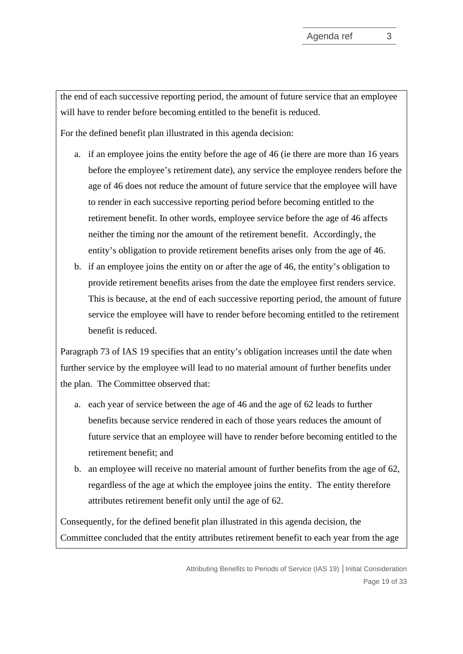the end of each successive reporting period, the amount of future service that an employee will have to render before becoming entitled to the benefit is reduced.

For the defined benefit plan illustrated in this agenda decision:

- a. if an employee joins the entity before the age of 46 (ie there are more than 16 years before the employee's retirement date), any service the employee renders before the age of 46 does not reduce the amount of future service that the employee will have to render in each successive reporting period before becoming entitled to the retirement benefit. In other words, employee service before the age of 46 affects neither the timing nor the amount of the retirement benefit. Accordingly, the entity's obligation to provide retirement benefits arises only from the age of 46.
- b. if an employee joins the entity on or after the age of 46, the entity's obligation to provide retirement benefits arises from the date the employee first renders service. This is because, at the end of each successive reporting period, the amount of future service the employee will have to render before becoming entitled to the retirement benefit is reduced.

Paragraph 73 of IAS 19 specifies that an entity's obligation increases until the date when further service by the employee will lead to no material amount of further benefits under the plan. The Committee observed that:

- a. each year of service between the age of 46 and the age of 62 leads to further benefits because service rendered in each of those years reduces the amount of future service that an employee will have to render before becoming entitled to the retirement benefit; and
- b. an employee will receive no material amount of further benefits from the age of 62, regardless of the age at which the employee joins the entity. The entity therefore attributes retirement benefit only until the age of 62.

Consequently, for the defined benefit plan illustrated in this agenda decision, the Committee concluded that the entity attributes retirement benefit to each year from the age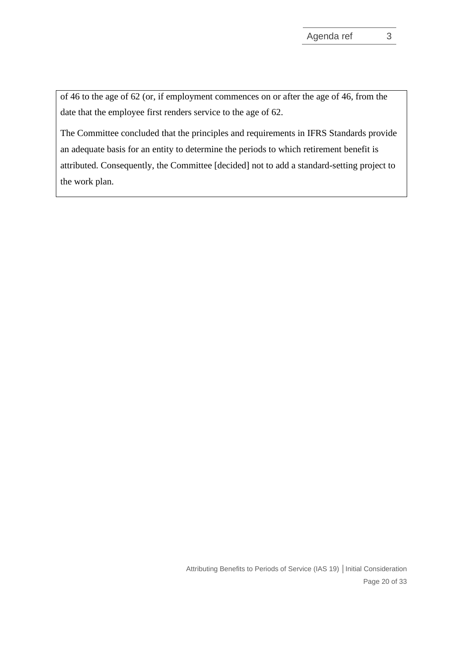of 46 to the age of 62 (or, if employment commences on or after the age of 46, from the date that the employee first renders service to the age of 62.

The Committee concluded that the principles and requirements in IFRS Standards provide an adequate basis for an entity to determine the periods to which retirement benefit is attributed. Consequently, the Committee [decided] not to add a standard-setting project to the work plan.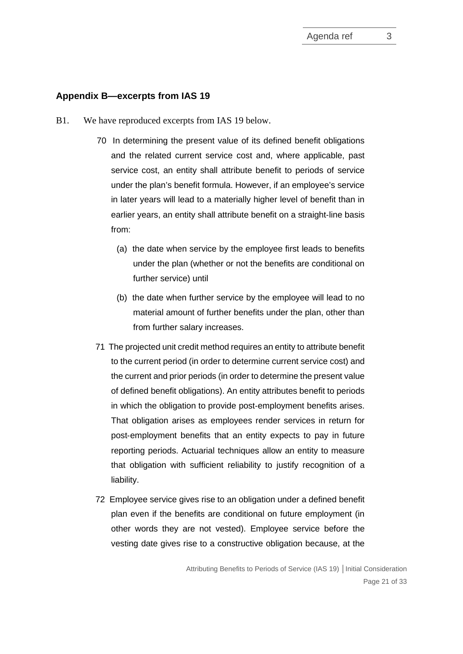#### **Appendix B—excerpts from IAS 19**

- B1. We have reproduced excerpts from IAS 19 below.
	- 70 In determining the present value of its defined benefit obligations and the related current service cost and, where applicable, past service cost, an entity shall attribute benefit to periods of service under the plan's benefit formula. However, if an employee's service in later years will lead to a materially higher level of benefit than in earlier years, an entity shall attribute benefit on a straight-line basis from:
		- (a) the date when service by the employee first leads to benefits under the plan (whether or not the benefits are conditional on further service) until
		- (b) the date when further service by the employee will lead to no material amount of further benefits under the plan, other than from further salary increases.
	- 71 The projected unit credit method requires an entity to attribute benefit to the current period (in order to determine current service cost) and the current and prior periods (in order to determine the present value of defined benefit obligations). An entity attributes benefit to periods in which the obligation to provide post-employment benefits arises. That obligation arises as employees render services in return for post-employment benefits that an entity expects to pay in future reporting periods. Actuarial techniques allow an entity to measure that obligation with sufficient reliability to justify recognition of a liability.
	- 72 Employee service gives rise to an obligation under a defined benefit plan even if the benefits are conditional on future employment (in other words they are not vested). Employee service before the vesting date gives rise to a constructive obligation because, at the

Attributing Benefits to Periods of Service (IAS 19) **│**Initial Consideration Page 21 of 33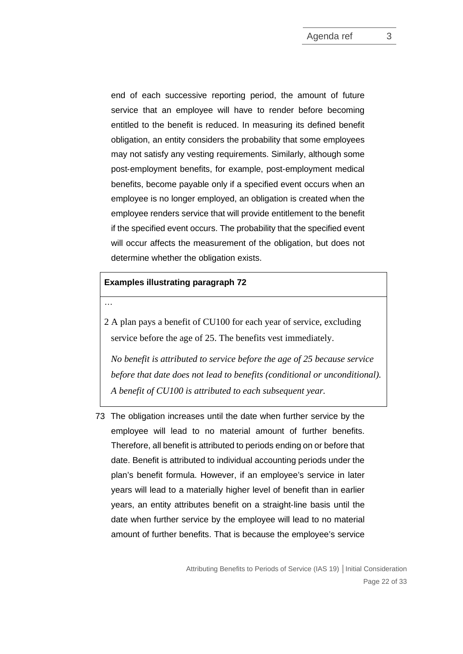end of each successive reporting period, the amount of future service that an employee will have to render before becoming entitled to the benefit is reduced. In measuring its defined benefit obligation, an entity considers the probability that some employees may not satisfy any vesting requirements. Similarly, although some post-employment benefits, for example, post-employment medical benefits, become payable only if a specified event occurs when an employee is no longer employed, an obligation is created when the employee renders service that will provide entitlement to the benefit if the specified event occurs. The probability that the specified event will occur affects the measurement of the obligation, but does not determine whether the obligation exists.

#### **Examples illustrating paragraph 72**

…

2 A plan pays a benefit of CU100 for each year of service, excluding service before the age of 25. The benefits vest immediately.

*No benefit is attributed to service before the age of 25 because service before that date does not lead to benefits (conditional or unconditional). A benefit of CU100 is attributed to each subsequent year.*

73 The obligation increases until the date when further service by the employee will lead to no material amount of further benefits. Therefore, all benefit is attributed to periods ending on or before that date. Benefit is attributed to individual accounting periods under the plan's benefit formula. However, if an employee's service in later years will lead to a materially higher level of benefit than in earlier years, an entity attributes benefit on a straight-line basis until the date when further service by the employee will lead to no material amount of further benefits. That is because the employee's service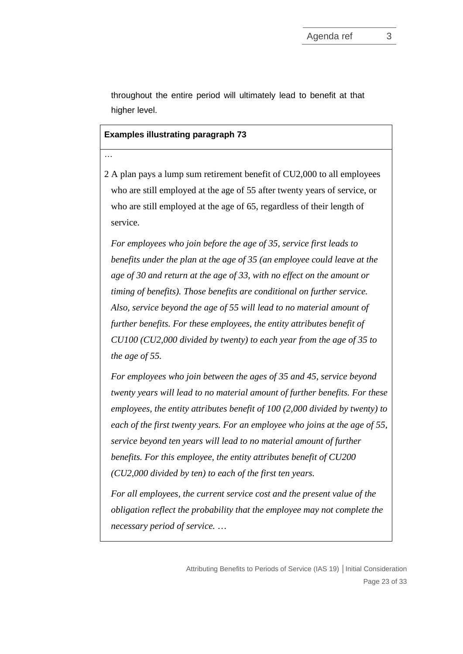throughout the entire period will ultimately lead to benefit at that higher level.

#### **Examples illustrating paragraph 73**

…

2 A plan pays a lump sum retirement benefit of CU2,000 to all employees who are still employed at the age of 55 after twenty years of service, or who are still employed at the age of 65, regardless of their length of service.

*For employees who join before the age of 35, service first leads to benefits under the plan at the age of 35 (an employee could leave at the age of 30 and return at the age of 33, with no effect on the amount or timing of benefits). Those benefits are conditional on further service. Also, service beyond the age of 55 will lead to no material amount of further benefits. For these employees, the entity attributes benefit of CU100 (CU2,000 divided by twenty) to each year from the age of 35 to the age of 55.*

*For employees who join between the ages of 35 and 45, service beyond twenty years will lead to no material amount of further benefits. For these employees, the entity attributes benefit of 100 (2,000 divided by twenty) to each of the first twenty years. For an employee who joins at the age of 55, service beyond ten years will lead to no material amount of further benefits. For this employee, the entity attributes benefit of CU200 (CU2,000 divided by ten) to each of the first ten years.*

*For all employees, the current service cost and the present value of the obligation reflect the probability that the employee may not complete the necessary period of service.* …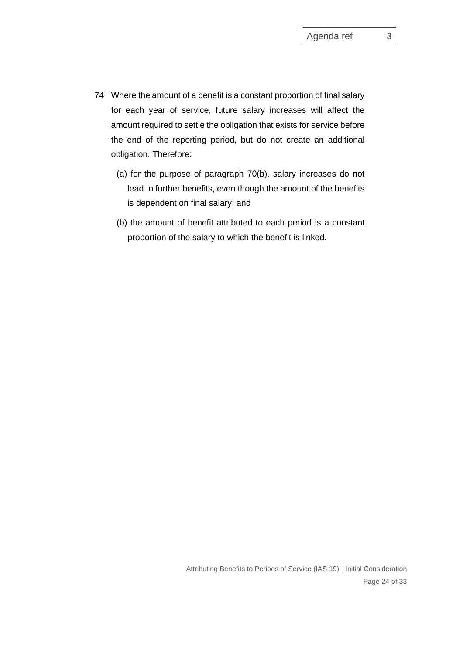- 74 Where the amount of a benefit is a constant proportion of final salary for each year of service, future salary increases will affect the amount required to settle the obligation that exists for service before the end of the reporting period, but do not create an additional obligation. Therefore:
	- (a) for the purpose of paragraph 70(b), salary increases do not lead to further benefits, even though the amount of the benefits is dependent on final salary; and
	- (b) the amount of benefit attributed to each period is a constant proportion of the salary to which the benefit is linked.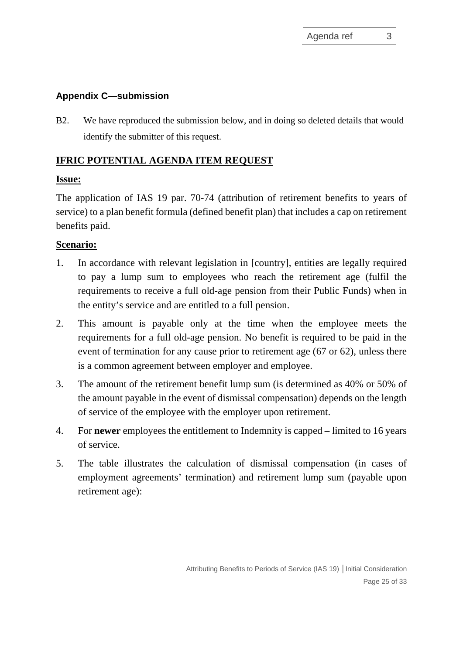# **Appendix C—submission**

B2. We have reproduced the submission below, and in doing so deleted details that would identify the submitter of this request.

### **IFRIC POTENTIAL AGENDA ITEM REQUEST**

### **Issue:**

The application of IAS 19 par. 70-74 (attribution of retirement benefits to years of service) to a plan benefit formula (defined benefit plan) that includes a cap on retirement benefits paid.

# **Scenario:**

- 1. In accordance with relevant legislation in [country], entities are legally required to pay a lump sum to employees who reach the retirement age (fulfil the requirements to receive a full old-age pension from their Public Funds) when in the entity's service and are entitled to a full pension.
- 2. This amount is payable only at the time when the employee meets the requirements for a full old-age pension. No benefit is required to be paid in the event of termination for any cause prior to retirement age (67 or 62), unless there is a common agreement between employer and employee.
- 3. The amount of the retirement benefit lump sum (is determined as 40% or 50% of the amount payable in the event of dismissal compensation) depends on the length of service of the employee with the employer upon retirement.
- 4. For **newer** employees the entitlement to Indemnity is capped limited to 16 years of service.
- 5. The table illustrates the calculation of dismissal compensation (in cases of employment agreements' termination) and retirement lump sum (payable upon retirement age):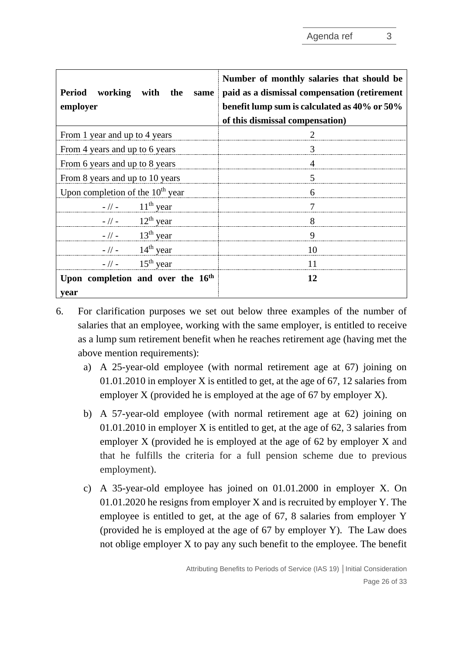| Period working with the<br>same<br>employer | Number of monthly salaries that should be<br>paid as a dismissal compensation (retirement<br>benefit lump sum is calculated as 40% or 50%<br>of this dismissal compensation) |
|---------------------------------------------|------------------------------------------------------------------------------------------------------------------------------------------------------------------------------|
| From 1 year and up to 4 years               |                                                                                                                                                                              |
| From 4 years and up to 6 years              | 3                                                                                                                                                                            |
| From 6 years and up to 8 years              |                                                                                                                                                                              |
| From 8 years and up to 10 years             | 5                                                                                                                                                                            |
| Upon completion of the $10th$ year          | 6                                                                                                                                                                            |
| $-$ // - 11 <sup>th</sup> year              | 7                                                                                                                                                                            |
| $-$ // - 12 <sup>th</sup> year              | 8                                                                                                                                                                            |
| $-$ // - 13 <sup>th</sup> year              | 9                                                                                                                                                                            |
| $-$ // - 14 <sup>th</sup> year              | 10                                                                                                                                                                           |
| $-$ // - 15 <sup>th</sup> year              | 11                                                                                                                                                                           |
| Upon completion and over the 16th<br>year   | 12                                                                                                                                                                           |

- 6. For clarification purposes we set out below three examples of the number of salaries that an employee, working with the same employer, is entitled to receive as a lump sum retirement benefit when he reaches retirement age (having met the above mention requirements):
	- a) A 25-year-old employee (with normal retirement age at 67) joining on 01.01.2010 in employer X is entitled to get, at the age of 67, 12 salaries from employer X (provided he is employed at the age of 67 by employer X).
	- b) A 57-year-old employee (with normal retirement age at 62) joining on 01.01.2010 in employer X is entitled to get, at the age of 62, 3 salaries from employer X (provided he is employed at the age of 62 by employer X and that he fulfills the criteria for a full pension scheme due to previous employment).
	- c) A 35-year-old employee has joined on 01.01.2000 in employer X. On 01.01.2020 he resigns from employer X and is recruited by employer Y. The employee is entitled to get, at the age of 67, 8 salaries from employer Y (provided he is employed at the age of 67 by employer Y). The Law does not oblige employer X to pay any such benefit to the employee. The benefit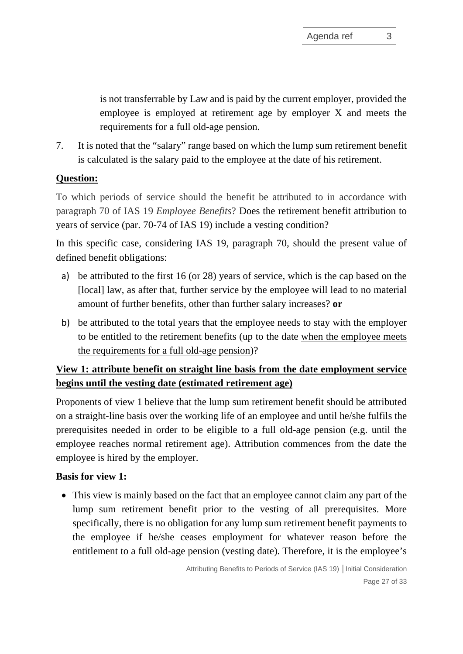is not transferrable by Law and is paid by the current employer, provided the employee is employed at retirement age by employer X and meets the requirements for a full old-age pension.

7. It is noted that the "salary" range based on which the lump sum retirement benefit is calculated is the salary paid to the employee at the date of his retirement.

# **Question:**

To which periods of service should the benefit be attributed to in accordance with paragraph 70 of IAS 19 *Employee Benefits*? Does the retirement benefit attribution to years of service (par. 70-74 of IAS 19) include a vesting condition?

In this specific case, considering IAS 19, paragraph 70, should the present value of defined benefit obligations:

- a) be attributed to the first 16 (or 28) years of service, which is the cap based on the [local] law, as after that, further service by the employee will lead to no material amount of further benefits, other than further salary increases? **or**
- b) be attributed to the total years that the employee needs to stay with the employer to be entitled to the retirement benefits (up to the date when the employee meets the requirements for a full old-age pension)?

# **View 1: attribute benefit on straight line basis from the date employment service begins until the vesting date (estimated retirement age)**

Proponents of view 1 believe that the lump sum retirement benefit should be attributed on a straight-line basis over the working life of an employee and until he/she fulfils the prerequisites needed in order to be eligible to a full old-age pension (e.g. until the employee reaches normal retirement age). Attribution commences from the date the employee is hired by the employer.

# **Basis for view 1:**

• This view is mainly based on the fact that an employee cannot claim any part of the lump sum retirement benefit prior to the vesting of all prerequisites. More specifically, there is no obligation for any lump sum retirement benefit payments to the employee if he/she ceases employment for whatever reason before the entitlement to a full old-age pension (vesting date). Therefore, it is the employee's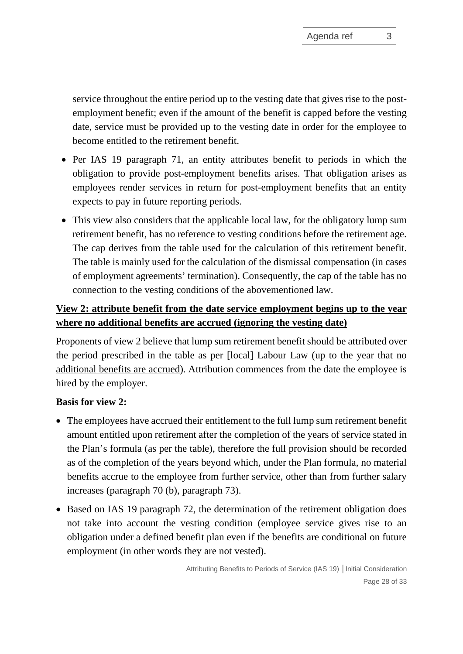service throughout the entire period up to the vesting date that gives rise to the postemployment benefit; even if the amount of the benefit is capped before the vesting date, service must be provided up to the vesting date in order for the employee to become entitled to the retirement benefit.

- Per IAS 19 paragraph 71, an entity attributes benefit to periods in which the obligation to provide post-employment benefits arises. That obligation arises as employees render services in return for post-employment benefits that an entity expects to pay in future reporting periods.
- This view also considers that the applicable local law, for the obligatory lump sum retirement benefit, has no reference to vesting conditions before the retirement age. The cap derives from the table used for the calculation of this retirement benefit. The table is mainly used for the calculation of the dismissal compensation (in cases of employment agreements' termination). Consequently, the cap of the table has no connection to the vesting conditions of the abovementioned law.

# **View 2: attribute benefit from the date service employment begins up to the year where no additional benefits are accrued (ignoring the vesting date)**

Proponents of view 2 believe that lump sum retirement benefit should be attributed over the period prescribed in the table as per [local] Labour Law (up to the year that no additional benefits are accrued). Attribution commences from the date the employee is hired by the employer.

### **Basis for view 2:**

- The employees have accrued their entitlement to the full lump sum retirement benefit amount entitled upon retirement after the completion of the years of service stated in the Plan's formula (as per the table), therefore the full provision should be recorded as of the completion of the years beyond which, under the Plan formula, no material benefits accrue to the employee from further service, other than from further salary increases (paragraph 70 (b), paragraph 73).
- Based on IAS 19 paragraph 72, the determination of the retirement obligation does not take into account the vesting condition (employee service gives rise to an obligation under a defined benefit plan even if the benefits are conditional on future employment (in other words they are not vested).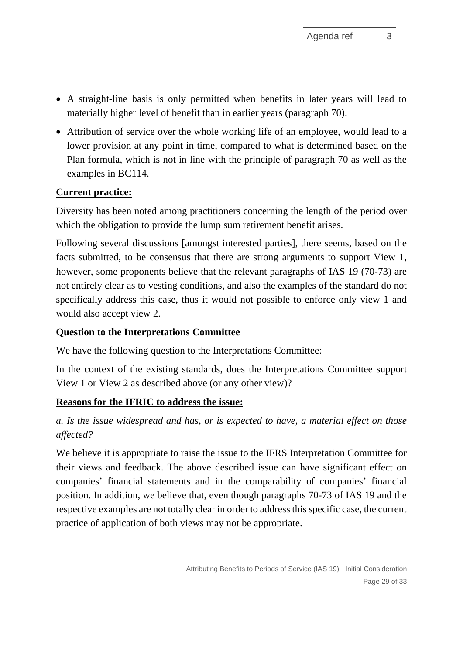- A straight-line basis is only permitted when benefits in later years will lead to materially higher level of benefit than in earlier years (paragraph 70).
- Attribution of service over the whole working life of an employee, would lead to a lower provision at any point in time, compared to what is determined based on the Plan formula, which is not in line with the principle of paragraph 70 as well as the examples in BC114.

### **Current practice:**

Diversity has been noted among practitioners concerning the length of the period over which the obligation to provide the lump sum retirement benefit arises.

Following several discussions [amongst interested parties], there seems, based on the facts submitted, to be consensus that there are strong arguments to support View 1, however, some proponents believe that the relevant paragraphs of IAS 19 (70-73) are not entirely clear as to vesting conditions, and also the examples of the standard do not specifically address this case, thus it would not possible to enforce only view 1 and would also accept view 2.

### **Question to the Interpretations Committee**

We have the following question to the Interpretations Committee:

In the context of the existing standards, does the Interpretations Committee support View 1 or View 2 as described above (or any other view)?

### **Reasons for the IFRIC to address the issue:**

# *a. Is the issue widespread and has, or is expected to have, a material effect on those affected?*

We believe it is appropriate to raise the issue to the IFRS Interpretation Committee for their views and feedback. The above described issue can have significant effect on companies' financial statements and in the comparability of companies' financial position. In addition, we believe that, even though paragraphs 70-73 of IAS 19 and the respective examples are not totally clear in order to address this specific case, the current practice of application of both views may not be appropriate.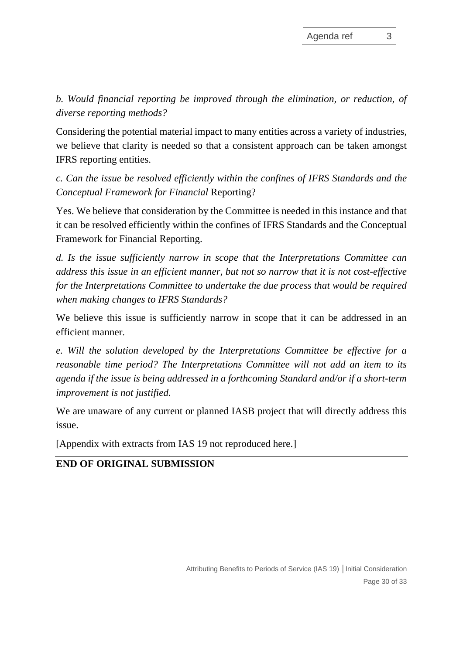*b. Would financial reporting be improved through the elimination, or reduction, of diverse reporting methods?*

Considering the potential material impact to many entities across a variety of industries, we believe that clarity is needed so that a consistent approach can be taken amongst IFRS reporting entities.

*c. Can the issue be resolved efficiently within the confines of IFRS Standards and the Conceptual Framework for Financial* Reporting?

Yes. We believe that consideration by the Committee is needed in this instance and that it can be resolved efficiently within the confines of IFRS Standards and the Conceptual Framework for Financial Reporting.

*d. Is the issue sufficiently narrow in scope that the Interpretations Committee can address this issue in an efficient manner, but not so narrow that it is not cost-effective for the Interpretations Committee to undertake the due process that would be required when making changes to IFRS Standards?*

We believe this issue is sufficiently narrow in scope that it can be addressed in an efficient manner.

*e. Will the solution developed by the Interpretations Committee be effective for a reasonable time period? The Interpretations Committee will not add an item to its agenda if the issue is being addressed in a forthcoming Standard and/or if a short-term improvement is not justified.*

We are unaware of any current or planned IASB project that will directly address this issue.

[Appendix with extracts from IAS 19 not reproduced here.]

# **END OF ORIGINAL SUBMISSION**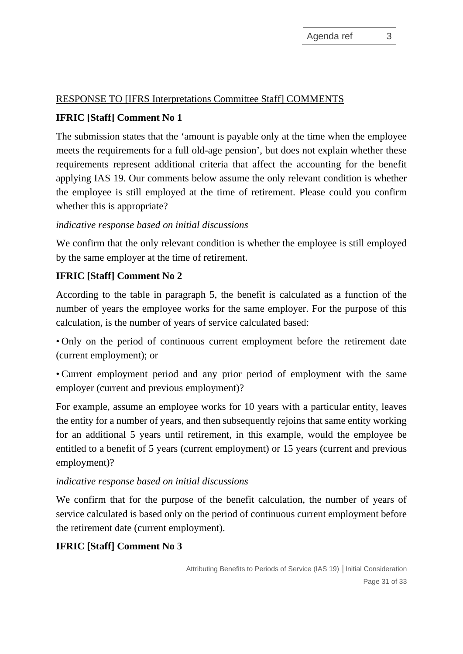# RESPONSE TO [IFRS Interpretations Committee Staff] COMMENTS

# **IFRIC [Staff] Comment No 1**

The submission states that the 'amount is payable only at the time when the employee meets the requirements for a full old-age pension', but does not explain whether these requirements represent additional criteria that affect the accounting for the benefit applying IAS 19. Our comments below assume the only relevant condition is whether the employee is still employed at the time of retirement. Please could you confirm whether this is appropriate?

### *indicative response based on initial discussions*

We confirm that the only relevant condition is whether the employee is still employed by the same employer at the time of retirement.

# **IFRIC [Staff] Comment No 2**

According to the table in paragraph 5, the benefit is calculated as a function of the number of years the employee works for the same employer. For the purpose of this calculation, is the number of years of service calculated based:

• Only on the period of continuous current employment before the retirement date (current employment); or

• Current employment period and any prior period of employment with the same employer (current and previous employment)?

For example, assume an employee works for 10 years with a particular entity, leaves the entity for a number of years, and then subsequently rejoins that same entity working for an additional 5 years until retirement, in this example, would the employee be entitled to a benefit of 5 years (current employment) or 15 years (current and previous employment)?

### *indicative response based on initial discussions*

We confirm that for the purpose of the benefit calculation, the number of years of service calculated is based only on the period of continuous current employment before the retirement date (current employment).

# **IFRIC [Staff] Comment No 3**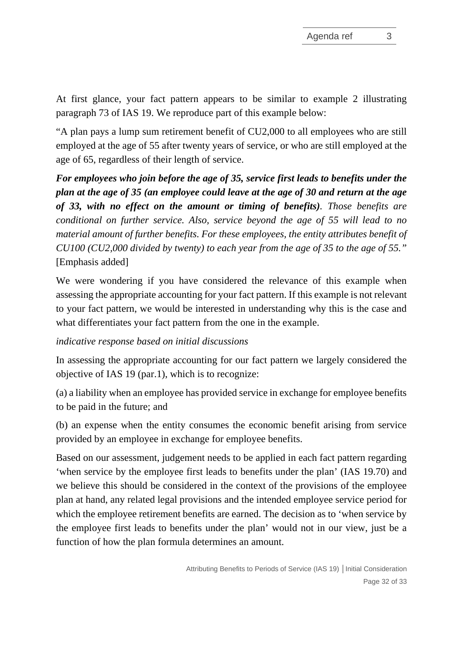At first glance, your fact pattern appears to be similar to example 2 illustrating paragraph 73 of IAS 19. We reproduce part of this example below:

"A plan pays a lump sum retirement benefit of CU2,000 to all employees who are still employed at the age of 55 after twenty years of service, or who are still employed at the age of 65, regardless of their length of service.

*For employees who join before the age of 35, service first leads to benefits under the plan at the age of 35 (an employee could leave at the age of 30 and return at the age of 33, with no effect on the amount or timing of benefits). Those benefits are conditional on further service. Also, service beyond the age of 55 will lead to no material amount of further benefits. For these employees, the entity attributes benefit of CU100 (CU2,000 divided by twenty) to each year from the age of 35 to the age of 55."* [Emphasis added]

We were wondering if you have considered the relevance of this example when assessing the appropriate accounting for your fact pattern. If this example is not relevant to your fact pattern, we would be interested in understanding why this is the case and what differentiates your fact pattern from the one in the example.

### *indicative response based on initial discussions*

In assessing the appropriate accounting for our fact pattern we largely considered the objective of IAS 19 (par.1), which is to recognize:

(a) a liability when an employee has provided service in exchange for employee benefits to be paid in the future; and

(b) an expense when the entity consumes the economic benefit arising from service provided by an employee in exchange for employee benefits.

Based on our assessment, judgement needs to be applied in each fact pattern regarding 'when service by the employee first leads to benefits under the plan' (IAS 19.70) and we believe this should be considered in the context of the provisions of the employee plan at hand, any related legal provisions and the intended employee service period for which the employee retirement benefits are earned. The decision as to 'when service by the employee first leads to benefits under the plan' would not in our view, just be a function of how the plan formula determines an amount.